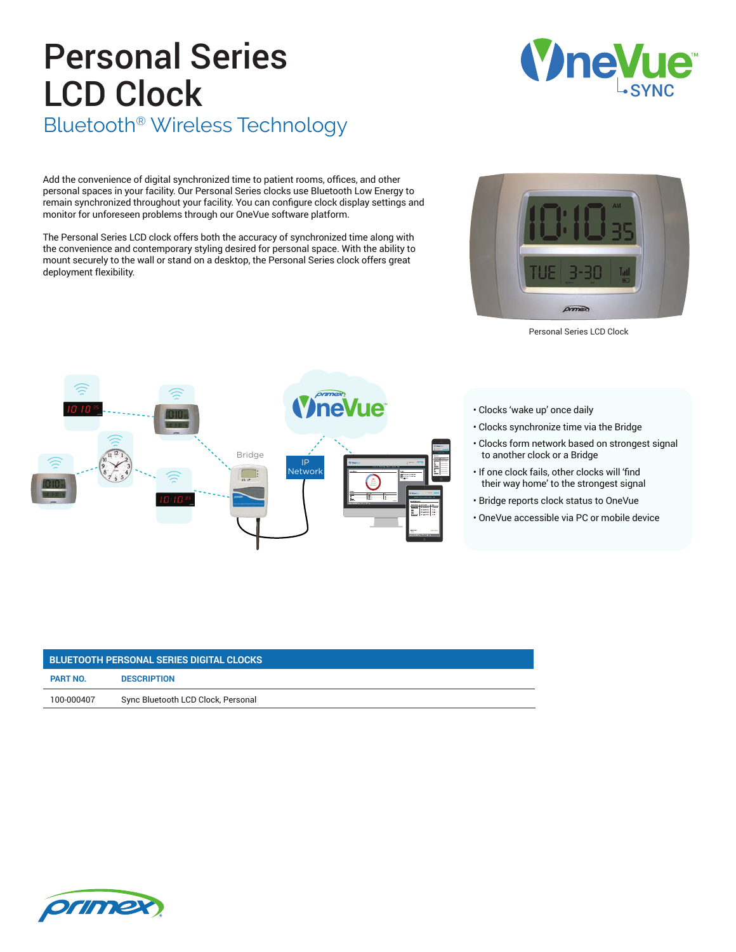## Personal Series LCD Clock Bluetooth® Wireless Technology

Add the convenience of digital synchronized time to patient rooms, offices, and other personal spaces in your facility. Our Personal Series clocks use Bluetooth Low Energy to remain synchronized throughout your facility. You can configure clock display settings and monitor for unforeseen problems through our OneVue software platform.

The Personal Series LCD clock offers both the accuracy of synchronized time along with the convenience and contemporary styling desired for personal space. With the ability to mount securely to the wall or stand on a desktop, the Personal Series clock offers great deployment flexibility.

Bridge

IP **Network** 

neV



 $\tilde{\phantom{a}}$  $\tilde{\phantom{a}}$ Refrigerator L53

FEB

- Clocks synchronize time via the Bridge
- Clocks form network based on strongest signal to another clock or a Bridge
- If one clock fails, other clocks will 'find their way home' to the strongest signal
- Bridge reports clock status to OneVue
- OneVue accessible via PC or mobile device

| <b>BLUETOOTH PERSONAL SERIES DIGITAL CLOCKS</b> |                                    |
|-------------------------------------------------|------------------------------------|
| <b>PART NO.</b>                                 | <b>DESCRIPTION</b>                 |
| 100-000407                                      | Sync Bluetooth LCD Clock, Personal |





Personal Series LCD Clock